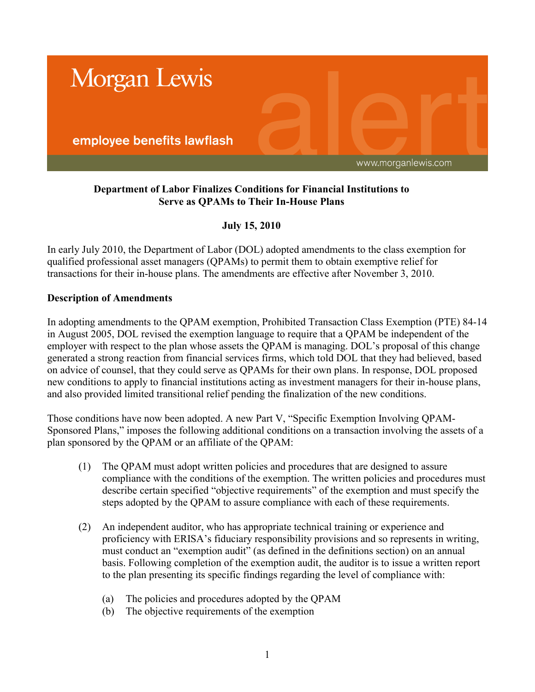

# **Department of Labor Finalizes Conditions for Financial Institutions to Serve as QPAMs to Their In-House Plans**

# **July 15, 2010**

In early July 2010, the Department of Labor (DOL) adopted amendments to the class exemption for qualified professional asset managers (QPAMs) to permit them to obtain exemptive relief for transactions for their in-house plans. The amendments are effective after November 3, 2010.

## **Description of Amendments**

In adopting amendments to the QPAM exemption, Prohibited Transaction Class Exemption (PTE) 84-14 in August 2005, DOL revised the exemption language to require that a QPAM be independent of the employer with respect to the plan whose assets the QPAM is managing. DOL's proposal of this change generated a strong reaction from financial services firms, which told DOL that they had believed, based on advice of counsel, that they could serve as QPAMs for their own plans. In response, DOL proposed new conditions to apply to financial institutions acting as investment managers for their in-house plans, and also provided limited transitional relief pending the finalization of the new conditions.

Those conditions have now been adopted. A new Part V, "Specific Exemption Involving QPAM-Sponsored Plans," imposes the following additional conditions on a transaction involving the assets of a plan sponsored by the QPAM or an affiliate of the QPAM:

- (1) The QPAM must adopt written policies and procedures that are designed to assure compliance with the conditions of the exemption. The written policies and procedures must describe certain specified "objective requirements" of the exemption and must specify the steps adopted by the QPAM to assure compliance with each of these requirements.
- (2) An independent auditor, who has appropriate technical training or experience and proficiency with ERISA's fiduciary responsibility provisions and so represents in writing, must conduct an "exemption audit" (as defined in the definitions section) on an annual basis. Following completion of the exemption audit, the auditor is to issue a written report to the plan presenting its specific findings regarding the level of compliance with:
	- (a) The policies and procedures adopted by the QPAM
	- (b) The objective requirements of the exemption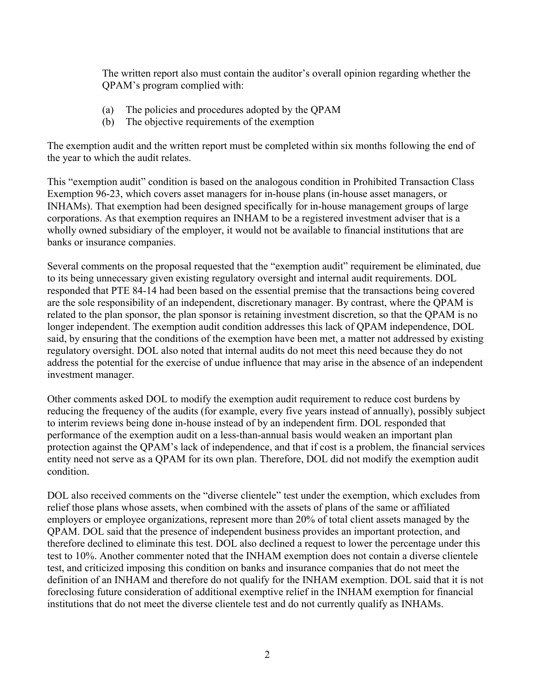The written report also must contain the auditor's overall opinion regarding whether the QPAM's program complied with:

- (a) The policies and procedures adopted by the QPAM
- (b) The objective requirements of the exemption

The exemption audit and the written report must be completed within six months following the end of the year to which the audit relates.

This "exemption audit" condition is based on the analogous condition in Prohibited Transaction Class Exemption 96-23, which covers asset managers for in-house plans (in-house asset managers, or INHAMs). That exemption had been designed specifically for in-house management groups of large corporations. As that exemption requires an INHAM to be a registered investment adviser that is a wholly owned subsidiary of the employer, it would not be available to financial institutions that are banks or insurance companies.

Several comments on the proposal requested that the "exemption audit" requirement be eliminated, due to its being unnecessary given existing regulatory oversight and internal audit requirements. DOL responded that PTE 84-14 had been based on the essential premise that the transactions being covered are the sole responsibility of an independent, discretionary manager. By contrast, where the QPAM is related to the plan sponsor, the plan sponsor is retaining investment discretion, so that the QPAM is no longer independent. The exemption audit condition addresses this lack of QPAM independence, DOL said, by ensuring that the conditions of the exemption have been met, a matter not addressed by existing regulatory oversight. DOL also noted that internal audits do not meet this need because they do not address the potential for the exercise of undue influence that may arise in the absence of an independent investment manager.

Other comments asked DOL to modify the exemption audit requirement to reduce cost burdens by reducing the frequency of the audits (for example, every five years instead of annually), possibly subject to interim reviews being done in-house instead of by an independent firm. DOL responded that performance of the exemption audit on a less-than-annual basis would weaken an important plan protection against the QPAM's lack of independence, and that if cost is a problem, the financial services entity need not serve as a QPAM for its own plan. Therefore, DOL did not modify the exemption audit condition.

DOL also received comments on the "diverse clientele" test under the exemption, which excludes from relief those plans whose assets, when combined with the assets of plans of the same or affiliated employers or employee organizations, represent more than 20% of total client assets managed by the QPAM. DOL said that the presence of independent business provides an important protection, and therefore declined to eliminate this test. DOL also declined a request to lower the percentage under this test to 10%. Another commenter noted that the INHAM exemption does not contain a diverse clientele test, and criticized imposing this condition on banks and insurance companies that do not meet the definition of an INHAM and therefore do not qualify for the INHAM exemption. DOL said that it is not foreclosing future consideration of additional exemptive relief in the INHAM exemption for financial institutions that do not meet the diverse clientele test and do not currently qualify as INHAMs.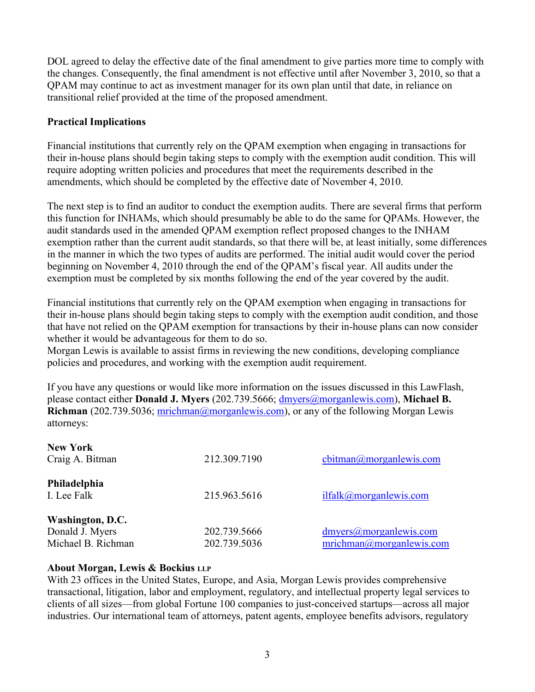DOL agreed to delay the effective date of the final amendment to give parties more time to comply with the changes. Consequently, the final amendment is not effective until after November 3, 2010, so that a QPAM may continue to act as investment manager for its own plan until that date, in reliance on transitional relief provided at the time of the proposed amendment.

### **Practical Implications**

Financial institutions that currently rely on the QPAM exemption when engaging in transactions for their in-house plans should begin taking steps to comply with the exemption audit condition. This will require adopting written policies and procedures that meet the requirements described in the amendments, which should be completed by the effective date of November 4, 2010.

The next step is to find an auditor to conduct the exemption audits. There are several firms that perform this function for INHAMs, which should presumably be able to do the same for QPAMs. However, the audit standards used in the amended QPAM exemption reflect proposed changes to the INHAM exemption rather than the current audit standards, so that there will be, at least initially, some differences in the manner in which the two types of audits are performed. The initial audit would cover the period beginning on November 4, 2010 through the end of the QPAM's fiscal year. All audits under the exemption must be completed by six months following the end of the year covered by the audit.

Financial institutions that currently rely on the QPAM exemption when engaging in transactions for their in-house plans should begin taking steps to comply with the exemption audit condition, and those that have not relied on the QPAM exemption for transactions by their in-house plans can now consider whether it would be advantageous for them to do so.

Morgan Lewis is available to assist firms in reviewing the new conditions, developing compliance policies and procedures, and working with the exemption audit requirement.

If you have any questions or would like more information on the issues discussed in this LawFlash, please contact either **Donald J. Myers** (202.739.5666; [dmyers@morganlewis.com](mailto:dmyers@morganlewis.com)), **Michael B. Richman** (202.739.5036; [mrichman@morganlewis.com](mailto:mrichman@morganlewis.com)), or any of the following Morgan Lewis attorneys:

| <b>New York</b><br>Craig A. Bitman                        | 212.309.7190                 | $\text{cbitman}(a)$ morgan lewis.com               |
|-----------------------------------------------------------|------------------------------|----------------------------------------------------|
| Philadelphia<br>I. Lee Falk                               | 215.963.5616                 | ilfalk@morganlewis.com                             |
| Washington, D.C.<br>Donald J. Myers<br>Michael B. Richman | 202.739.5666<br>202.739.5036 | dmvers@morganlewis.com<br>mrichman@morganlewis.com |

#### **About Morgan, Lewis & Bockius LLP**

With 23 offices in the United States, Europe, and Asia, Morgan Lewis provides comprehensive transactional, litigation, labor and employment, regulatory, and intellectual property legal services to clients of all sizes—from global Fortune 100 companies to just-conceived startups—across all major industries. Our international team of attorneys, patent agents, employee benefits advisors, regulatory